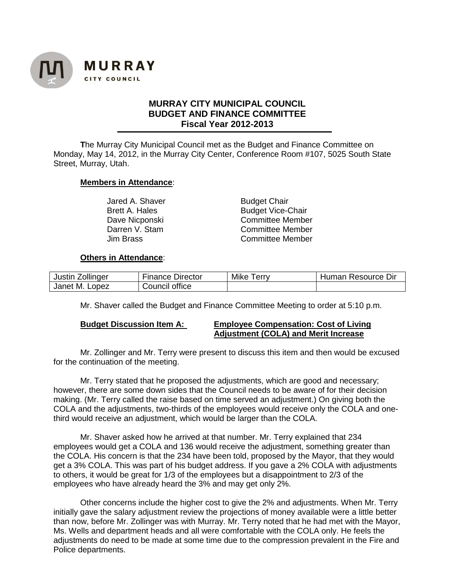

# **MURRAY CITY MUNICIPAL COUNCIL BUDGET AND FINANCE COMMITTEE Fiscal Year 2012-2013**

**T**he Murray City Municipal Council met as the Budget and Finance Committee on Monday, May 14, 2012, in the Murray City Center, Conference Room #107, 5025 South State Street, Murray, Utah.

### **Members in Attendance**:

Jared A. Shaver **Budget Chair** 

Brett A. Hales **Budget Vice-Chair** Dave Nicponski and Committee Member<br>
Darren V. Stam and Committee Member Darren V. Stam Committee Member<br>
Jim Brass Committee Member Committee Member

### **Others in Attendance**:

| Zollinger            | Director       | Mike | <b>Resource Dir</b> |
|----------------------|----------------|------|---------------------|
| Justin               | Sinance -      | erry | Human               |
| М.<br>Janet<br>Lopez | Council office |      |                     |

Mr. Shaver called the Budget and Finance Committee Meeting to order at 5:10 p.m.

### **Budget Discussion Item A: Employee Compensation: Cost of Living Adjustment (COLA) and Merit Increase**

Mr. Zollinger and Mr. Terry were present to discuss this item and then would be excused for the continuation of the meeting.

Mr. Terry stated that he proposed the adjustments, which are good and necessary; however, there are some down sides that the Council needs to be aware of for their decision making. (Mr. Terry called the raise based on time served an adjustment.) On giving both the COLA and the adjustments, two-thirds of the employees would receive only the COLA and onethird would receive an adjustment, which would be larger than the COLA.

Mr. Shaver asked how he arrived at that number. Mr. Terry explained that 234 employees would get a COLA and 136 would receive the adjustment, something greater than the COLA. His concern is that the 234 have been told, proposed by the Mayor, that they would get a 3% COLA. This was part of his budget address. If you gave a 2% COLA with adjustments to others, it would be great for 1/3 of the employees but a disappointment to 2/3 of the employees who have already heard the 3% and may get only 2%.

Other concerns include the higher cost to give the 2% and adjustments. When Mr. Terry initially gave the salary adjustment review the projections of money available were a little better than now, before Mr. Zollinger was with Murray. Mr. Terry noted that he had met with the Mayor, Ms. Wells and department heads and all were comfortable with the COLA only. He feels the adjustments do need to be made at some time due to the compression prevalent in the Fire and Police departments.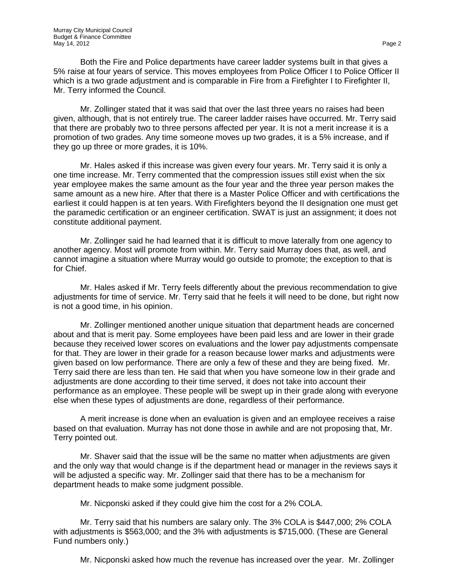Both the Fire and Police departments have career ladder systems built in that gives a 5% raise at four years of service. This moves employees from Police Officer I to Police Officer II which is a two grade adjustment and is comparable in Fire from a Firefighter I to Firefighter II, Mr. Terry informed the Council.

Mr. Zollinger stated that it was said that over the last three years no raises had been given, although, that is not entirely true. The career ladder raises have occurred. Mr. Terry said that there are probably two to three persons affected per year. It is not a merit increase it is a promotion of two grades. Any time someone moves up two grades, it is a 5% increase, and if they go up three or more grades, it is 10%.

Mr. Hales asked if this increase was given every four years. Mr. Terry said it is only a one time increase. Mr. Terry commented that the compression issues still exist when the six year employee makes the same amount as the four year and the three year person makes the same amount as a new hire. After that there is a Master Police Officer and with certifications the earliest it could happen is at ten years. With Firefighters beyond the II designation one must get the paramedic certification or an engineer certification. SWAT is just an assignment; it does not constitute additional payment.

Mr. Zollinger said he had learned that it is difficult to move laterally from one agency to another agency. Most will promote from within. Mr. Terry said Murray does that, as well, and cannot imagine a situation where Murray would go outside to promote; the exception to that is for Chief.

Mr. Hales asked if Mr. Terry feels differently about the previous recommendation to give adjustments for time of service. Mr. Terry said that he feels it will need to be done, but right now is not a good time, in his opinion.

Mr. Zollinger mentioned another unique situation that department heads are concerned about and that is merit pay. Some employees have been paid less and are lower in their grade because they received lower scores on evaluations and the lower pay adjustments compensate for that. They are lower in their grade for a reason because lower marks and adjustments were given based on low performance. There are only a few of these and they are being fixed. Mr. Terry said there are less than ten. He said that when you have someone low in their grade and adjustments are done according to their time served, it does not take into account their performance as an employee. These people will be swept up in their grade along with everyone else when these types of adjustments are done, regardless of their performance.

A merit increase is done when an evaluation is given and an employee receives a raise based on that evaluation. Murray has not done those in awhile and are not proposing that, Mr. Terry pointed out.

Mr. Shaver said that the issue will be the same no matter when adjustments are given and the only way that would change is if the department head or manager in the reviews says it will be adjusted a specific way. Mr. Zollinger said that there has to be a mechanism for department heads to make some judgment possible.

Mr. Nicponski asked if they could give him the cost for a 2% COLA.

Mr. Terry said that his numbers are salary only. The 3% COLA is \$447,000; 2% COLA with adjustments is \$563,000; and the 3% with adjustments is \$715,000. (These are General Fund numbers only.)

Mr. Nicponski asked how much the revenue has increased over the year. Mr. Zollinger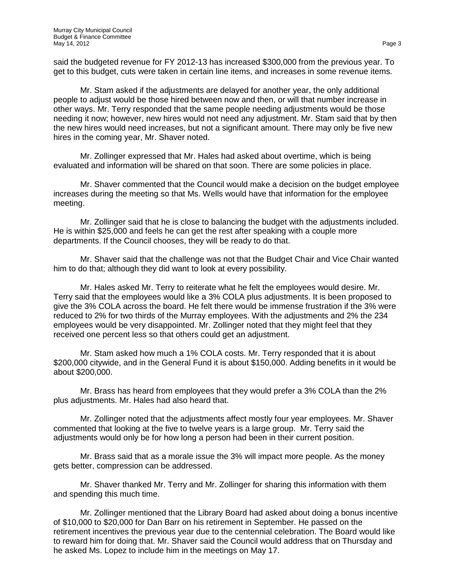said the budgeted revenue for FY 2012-13 has increased \$300,000 from the previous year. To get to this budget, cuts were taken in certain line items, and increases in some revenue items.

Mr. Stam asked if the adjustments are delayed for another year, the only additional people to adjust would be those hired between now and then, or will that number increase in other ways. Mr. Terry responded that the same people needing adjustments would be those needing it now; however, new hires would not need any adjustment. Mr. Stam said that by then the new hires would need increases, but not a significant amount. There may only be five new hires in the coming year, Mr. Shaver noted.

Mr. Zollinger expressed that Mr. Hales had asked about overtime, which is being evaluated and information will be shared on that soon. There are some policies in place.

Mr. Shaver commented that the Council would make a decision on the budget employee increases during the meeting so that Ms. Wells would have that information for the employee meeting.

Mr. Zollinger said that he is close to balancing the budget with the adjustments included. He is within \$25,000 and feels he can get the rest after speaking with a couple more departments. If the Council chooses, they will be ready to do that.

Mr. Shaver said that the challenge was not that the Budget Chair and Vice Chair wanted him to do that; although they did want to look at every possibility.

Mr. Hales asked Mr. Terry to reiterate what he felt the employees would desire. Mr. Terry said that the employees would like a 3% COLA plus adjustments. It is been proposed to give the 3% COLA across the board. He felt there would be immense frustration if the 3% were reduced to 2% for two thirds of the Murray employees. With the adjustments and 2% the 234 employees would be very disappointed. Mr. Zollinger noted that they might feel that they received one percent less so that others could get an adjustment.

Mr. Stam asked how much a 1% COLA costs. Mr. Terry responded that it is about \$200,000 citywide, and in the General Fund it is about \$150,000. Adding benefits in it would be about \$200,000.

Mr. Brass has heard from employees that they would prefer a 3% COLA than the 2% plus adjustments. Mr. Hales had also heard that.

Mr. Zollinger noted that the adjustments affect mostly four year employees. Mr. Shaver commented that looking at the five to twelve years is a large group. Mr. Terry said the adjustments would only be for how long a person had been in their current position.

Mr. Brass said that as a morale issue the 3% will impact more people. As the money gets better, compression can be addressed.

Mr. Shaver thanked Mr. Terry and Mr. Zollinger for sharing this information with them and spending this much time.

Mr. Zollinger mentioned that the Library Board had asked about doing a bonus incentive of \$10,000 to \$20,000 for Dan Barr on his retirement in September. He passed on the retirement incentives the previous year due to the centennial celebration. The Board would like to reward him for doing that. Mr. Shaver said the Council would address that on Thursday and he asked Ms. Lopez to include him in the meetings on May 17.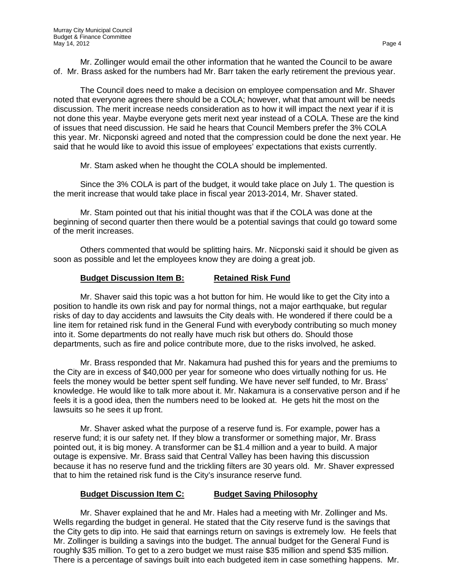Mr. Zollinger would email the other information that he wanted the Council to be aware of. Mr. Brass asked for the numbers had Mr. Barr taken the early retirement the previous year.

The Council does need to make a decision on employee compensation and Mr. Shaver noted that everyone agrees there should be a COLA; however, what that amount will be needs discussion. The merit increase needs consideration as to how it will impact the next year if it is not done this year. Maybe everyone gets merit next year instead of a COLA. These are the kind of issues that need discussion. He said he hears that Council Members prefer the 3% COLA this year. Mr. Nicponski agreed and noted that the compression could be done the next year. He said that he would like to avoid this issue of employees' expectations that exists currently.

Mr. Stam asked when he thought the COLA should be implemented.

Since the 3% COLA is part of the budget, it would take place on July 1. The question is the merit increase that would take place in fiscal year 2013-2014, Mr. Shaver stated.

Mr. Stam pointed out that his initial thought was that if the COLA was done at the beginning of second quarter then there would be a potential savings that could go toward some of the merit increases.

Others commented that would be splitting hairs. Mr. Nicponski said it should be given as soon as possible and let the employees know they are doing a great job.

## **Budget Discussion Item B: Retained Risk Fund**

Mr. Shaver said this topic was a hot button for him. He would like to get the City into a position to handle its own risk and pay for normal things, not a major earthquake, but regular risks of day to day accidents and lawsuits the City deals with. He wondered if there could be a line item for retained risk fund in the General Fund with everybody contributing so much money into it. Some departments do not really have much risk but others do. Should those departments, such as fire and police contribute more, due to the risks involved, he asked.

Mr. Brass responded that Mr. Nakamura had pushed this for years and the premiums to the City are in excess of \$40,000 per year for someone who does virtually nothing for us. He feels the money would be better spent self funding. We have never self funded, to Mr. Brass' knowledge. He would like to talk more about it. Mr. Nakamura is a conservative person and if he feels it is a good idea, then the numbers need to be looked at. He gets hit the most on the lawsuits so he sees it up front.

Mr. Shaver asked what the purpose of a reserve fund is. For example, power has a reserve fund; it is our safety net. If they blow a transformer or something major, Mr. Brass pointed out, it is big money. A transformer can be \$1.4 million and a year to build. A major outage is expensive. Mr. Brass said that Central Valley has been having this discussion because it has no reserve fund and the trickling filters are 30 years old. Mr. Shaver expressed that to him the retained risk fund is the City's insurance reserve fund.

## **Budget Discussion Item C: Budget Saving Philosophy**

Mr. Shaver explained that he and Mr. Hales had a meeting with Mr. Zollinger and Ms. Wells regarding the budget in general. He stated that the City reserve fund is the savings that the City gets to dip into. He said that earnings return on savings is extremely low. He feels that Mr. Zollinger is building a savings into the budget. The annual budget for the General Fund is roughly \$35 million. To get to a zero budget we must raise \$35 million and spend \$35 million. There is a percentage of savings built into each budgeted item in case something happens. Mr.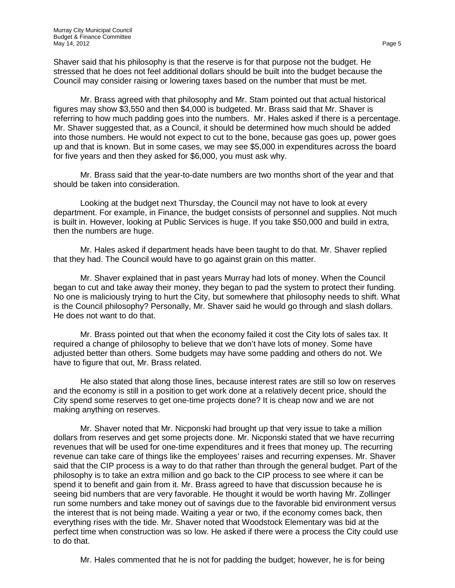Shaver said that his philosophy is that the reserve is for that purpose not the budget. He stressed that he does not feel additional dollars should be built into the budget because the Council may consider raising or lowering taxes based on the number that must be met.

Mr. Brass agreed with that philosophy and Mr. Stam pointed out that actual historical figures may show \$3,550 and then \$4,000 is budgeted. Mr. Brass said that Mr. Shaver is referring to how much padding goes into the numbers. Mr. Hales asked if there is a percentage. Mr. Shaver suggested that, as a Council, it should be determined how much should be added into those numbers. He would not expect to cut to the bone, because gas goes up, power goes up and that is known. But in some cases, we may see \$5,000 in expenditures across the board for five years and then they asked for \$6,000, you must ask why.

Mr. Brass said that the year-to-date numbers are two months short of the year and that should be taken into consideration.

Looking at the budget next Thursday, the Council may not have to look at every department. For example, in Finance, the budget consists of personnel and supplies. Not much is built in. However, looking at Public Services is huge. If you take \$50,000 and build in extra, then the numbers are huge.

Mr. Hales asked if department heads have been taught to do that. Mr. Shaver replied that they had. The Council would have to go against grain on this matter.

Mr. Shaver explained that in past years Murray had lots of money. When the Council began to cut and take away their money, they began to pad the system to protect their funding. No one is maliciously trying to hurt the City, but somewhere that philosophy needs to shift. What is the Council philosophy? Personally, Mr. Shaver said he would go through and slash dollars. He does not want to do that.

Mr. Brass pointed out that when the economy failed it cost the City lots of sales tax. It required a change of philosophy to believe that we don't have lots of money. Some have adjusted better than others. Some budgets may have some padding and others do not. We have to figure that out, Mr. Brass related.

He also stated that along those lines, because interest rates are still so low on reserves and the economy is still in a position to get work done at a relatively decent price, should the City spend some reserves to get one-time projects done? It is cheap now and we are not making anything on reserves.

Mr. Shaver noted that Mr. Nicponski had brought up that very issue to take a million dollars from reserves and get some projects done. Mr. Nicponski stated that we have recurring revenues that will be used for one-time expenditures and it frees that money up. The recurring revenue can take care of things like the employees' raises and recurring expenses. Mr. Shaver said that the CIP process is a way to do that rather than through the general budget. Part of the philosophy is to take an extra million and go back to the CIP process to see where it can be spend it to benefit and gain from it. Mr. Brass agreed to have that discussion because he is seeing bid numbers that are very favorable. He thought it would be worth having Mr. Zollinger run some numbers and take money out of savings due to the favorable bid environment versus the interest that is not being made. Waiting a year or two, if the economy comes back, then everything rises with the tide. Mr. Shaver noted that Woodstock Elementary was bid at the perfect time when construction was so low. He asked if there were a process the City could use to do that.

Mr. Hales commented that he is not for padding the budget; however, he is for being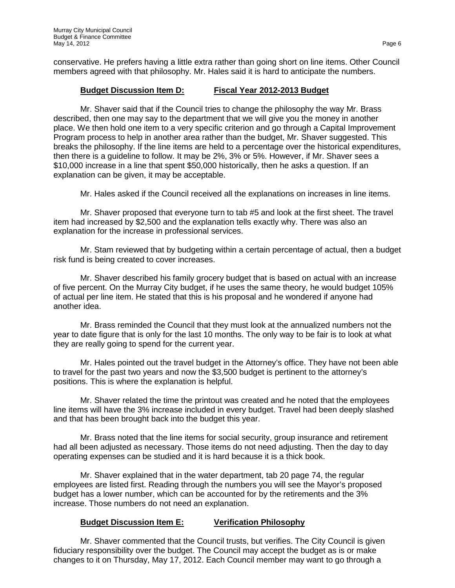conservative. He prefers having a little extra rather than going short on line items. Other Council members agreed with that philosophy. Mr. Hales said it is hard to anticipate the numbers.

## **Budget Discussion Item D: Fiscal Year 2012-2013 Budget**

Mr. Shaver said that if the Council tries to change the philosophy the way Mr. Brass described, then one may say to the department that we will give you the money in another place. We then hold one item to a very specific criterion and go through a Capital Improvement Program process to help in another area rather than the budget, Mr. Shaver suggested. This breaks the philosophy. If the line items are held to a percentage over the historical expenditures, then there is a guideline to follow. It may be 2%, 3% or 5%. However, if Mr. Shaver sees a \$10,000 increase in a line that spent \$50,000 historically, then he asks a question. If an explanation can be given, it may be acceptable.

Mr. Hales asked if the Council received all the explanations on increases in line items.

Mr. Shaver proposed that everyone turn to tab #5 and look at the first sheet. The travel item had increased by \$2,500 and the explanation tells exactly why. There was also an explanation for the increase in professional services.

Mr. Stam reviewed that by budgeting within a certain percentage of actual, then a budget risk fund is being created to cover increases.

Mr. Shaver described his family grocery budget that is based on actual with an increase of five percent. On the Murray City budget, if he uses the same theory, he would budget 105% of actual per line item. He stated that this is his proposal and he wondered if anyone had another idea.

Mr. Brass reminded the Council that they must look at the annualized numbers not the year to date figure that is only for the last 10 months. The only way to be fair is to look at what they are really going to spend for the current year.

Mr. Hales pointed out the travel budget in the Attorney's office. They have not been able to travel for the past two years and now the \$3,500 budget is pertinent to the attorney's positions. This is where the explanation is helpful.

Mr. Shaver related the time the printout was created and he noted that the employees line items will have the 3% increase included in every budget. Travel had been deeply slashed and that has been brought back into the budget this year.

Mr. Brass noted that the line items for social security, group insurance and retirement had all been adjusted as necessary. Those items do not need adjusting. Then the day to day operating expenses can be studied and it is hard because it is a thick book.

Mr. Shaver explained that in the water department, tab 20 page 74, the regular employees are listed first. Reading through the numbers you will see the Mayor's proposed budget has a lower number, which can be accounted for by the retirements and the 3% increase. Those numbers do not need an explanation.

## **Budget Discussion Item E: Verification Philosophy**

Mr. Shaver commented that the Council trusts, but verifies. The City Council is given fiduciary responsibility over the budget. The Council may accept the budget as is or make changes to it on Thursday, May 17, 2012. Each Council member may want to go through a